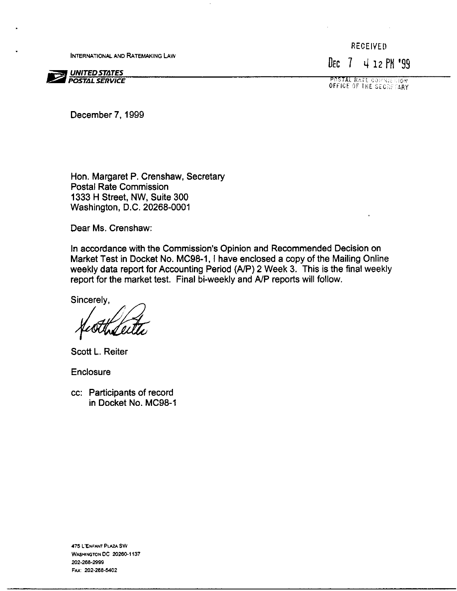**INTERNATIONAL AND RATEMAKING LAW** 



**RECEIVED** DEC 7 4 12 PM '99

**POSTAL RATE COMMISSION** 

December 7.1999

Hon. Margaret P. Crenshaw, Secretary Postal Rate Commission 1333 H Street, NW, Suite 300 Washington, D.C. 20268-0001

Dear Ms. Crenshaw:

In accordance with the Commission's Opinion and Recommended Decision on Market Test in Docket No. MC98-1, I have enclosed a copy of the Mailing Online weekly data report for Accounting Period (A/P) 2 Week 3. This is the final weekly report for the market test. Final bi-weekly and A/P reports will follow.

Sincerely,

Scott L. Reiter

Enclosure

cc: Participants of record in Docket No. MC98-1

475 L'ENFANT PLAZA SW WASHINGTON DC 20260-1137 202-268-2999 FAX: 202-268-5402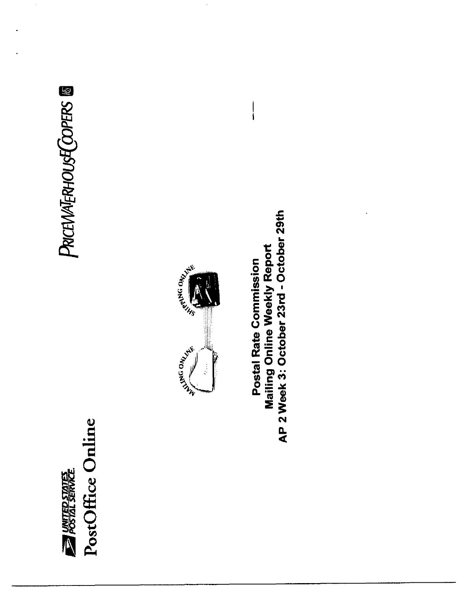

# PRICEWATERHOUSE COPERS ®



AP 2 Week 3: October 23rd - October 29th **Mailing Online Weekly Report** Postal Rate Commission

 $\mathbf{i}$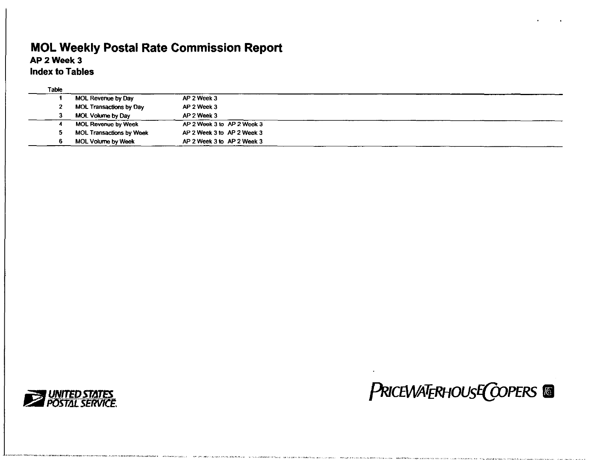## MOL Weekly Postal Rate Commission Report

## AP 2 Week 3

Index to Tables

| Table |                                 |                            |  |
|-------|---------------------------------|----------------------------|--|
|       | MOL Revenue by Day              | AP 2 Week 3                |  |
|       | <b>MOL Transactions by Day</b>  | AP 2 Week 3                |  |
|       | MOL Volume by Day               | AP 2 Week 3                |  |
|       | MOL Revenue by Week             | AP 2 Week 3 to AP 2 Week 3 |  |
|       | <b>MOL Transactions by Week</b> | AP 2 Week 3 to AP 2 Week 3 |  |
|       | MOL Volume by Week              | AP 2 Week 3 to AP 2 Week 3 |  |



## **PRICEWATERHOUSE COPERS**

. .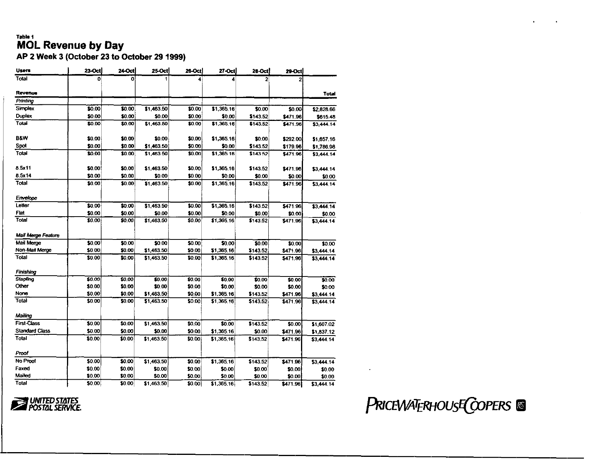### Table 1 **MOL Revenue by Day**

AP 2 Week 3 (October 23 to October 29 1999)

| <b>Users</b>          | 23-Oct | <b>24-Oct</b> | <b>25-Oct</b> | 26-Oct  | 27-Oct     | 28-Octi        | $29-Oct$ |              |
|-----------------------|--------|---------------|---------------|---------|------------|----------------|----------|--------------|
| Total                 |        | n             |               |         |            | $\overline{a}$ |          |              |
| Revenue               |        |               |               |         |            |                |          | <b>Total</b> |
| Printing              |        |               |               |         |            |                |          |              |
| Simplex               | \$0.00 | \$0.00        | \$1,463.50    | \$0.00  | \$1,365.16 | \$0.00         | \$0.00   | \$2,828.66   |
| Duplex                | \$0.00 | \$0.00        | \$0.00        | \$0.00  | \$0.00     | \$143.52       | \$471.96 | \$615.48     |
| Total                 | \$0.00 | \$0.00        | \$1,463.50    | \$0.00  | \$1,365.16 | \$143.52       | \$471.96 | \$3,444.14   |
| <b>B&amp;W</b>        | \$0.00 | \$0.00        | \$0.00        | \$0.00  | \$1,365.16 | \$0.00         | \$292.00 | \$1,657.16   |
| Spot                  | \$0.00 | \$0.00        | \$1,463.50    | \$0.00  | \$0.00     | \$143.52       | \$179.96 | \$1,786.98   |
| Total                 | \$0.00 | \$0.00        | \$1,463.50    | \$0.00  | \$1,365.16 | \$143.52       | \$471.96 | \$3,444.14   |
| 8.5x11                | \$0.00 | \$0.00        | \$1,463.50    | \$0.00  | \$1,365.16 | \$143.52       | \$471.96 | \$3,444.14   |
| 8.5x14                | \$0.00 | \$0.00        | \$0.00        | \$0.00  | \$0.00     | \$0.00         | \$0.00   | \$0.00       |
| Total                 | \$0.00 | \$0.00        | \$1,463.50    | \$0.00  | \$1,365.16 | \$143.52       | \$471.96 | \$3,444.14   |
| Envelope              |        |               |               |         |            |                |          |              |
| Letter                | \$0.00 | \$0.00        | \$1,463.50    | \$0.00  | \$1,365.16 | \$143.52       | \$471.96 | \$3,444.14   |
| Flat                  | \$0.00 | \$0.00        | \$0.00        | \$0.00  | \$0.00     | \$0.00         | \$0.00   | \$0.00       |
| Total                 | 50.00  | 50.00         | \$1,463.50    | \$0.00  | \$1,365.16 | \$143.52       | \$471.96 | \$3,444.14   |
| Mail Merge Feature    |        |               |               |         |            |                |          |              |
| Mail Merge            | \$0.00 | \$0.00        | \$0.00        | \$0.00  | \$0.00     | \$0.00         | \$0.00   | \$0.00       |
| Non-Mail Merge        | \$0.00 | \$0.00        | \$1,463.50    | \$0.00  | \$1,365.16 | \$143.52       | \$471.96 | \$3,444.14   |
| Total                 | \$0.00 | \$0.00        | \$1,463.50    | \$0.00  | \$1,365.16 | \$143.52       | \$471.96 | \$3,444.14   |
| Finishing             |        |               |               |         |            |                |          |              |
| Stapling              | \$0.00 | \$0.00        | \$0.00        | \$0.00  | \$0.00     | \$0.00         | \$0.00   | \$0.00       |
| Other                 | \$0.00 | \$0.00        | \$0.00        | \$0.00  | \$0.00     | \$0.00         | \$0.00   | \$0.00       |
| None                  | \$0.00 | \$0.00        | \$1,463.50    | \$0.00  | \$1,365.16 | \$143.52       | \$471.96 | \$3,444.14   |
| Total                 | \$0.00 | \$0.00        | \$1,463.50    | \$0.00  | \$1,365.16 | \$143.52       | \$471.96 | \$3,444.14   |
| Mailing               |        |               |               |         |            |                |          |              |
| <b>First-Class</b>    | \$0.00 | \$0.00        | \$1,463.50    | \$0.00  | \$0.00     | \$143.52       | \$0.00   | \$1,607.02   |
| <b>Standard Class</b> | \$0.00 | \$0.00        | \$0,00        | \$0.00  | \$1,365.16 | \$0.00         | \$471.96 | \$1,837.12   |
| Total                 | \$0.00 | \$0.00        | \$1,463.50    | \$0.00  | \$1,365,16 | \$143.52       | \$471.96 | \$3,444.14   |
| Proof                 |        |               |               |         |            |                |          |              |
| No Proof              | \$0.00 | \$0.00        | \$1,463.50    | \$0.00  | \$1,365.16 | \$143.52       | \$471.96 | \$3,444.14   |
| Faxed                 | \$0.00 | \$0.00        | \$0.00        | \$0.00  | \$0.00     | \$0.00         | \$0.00   | \$0.00       |
| Mailed                | \$0.00 | \$0.00        | \$0.00        | \$0.00  | \$0.00     | \$0.00         | \$0.00   | \$0.00       |
| Total                 | \$0.00 | \$0.00        | \$1,463.50    | \$0.00] | \$1,365.16 | \$143.52       | \$471.96 | \$3,444.14   |

**EXAMPLED STATES** 

PRICEWATERHOUSE COPERS &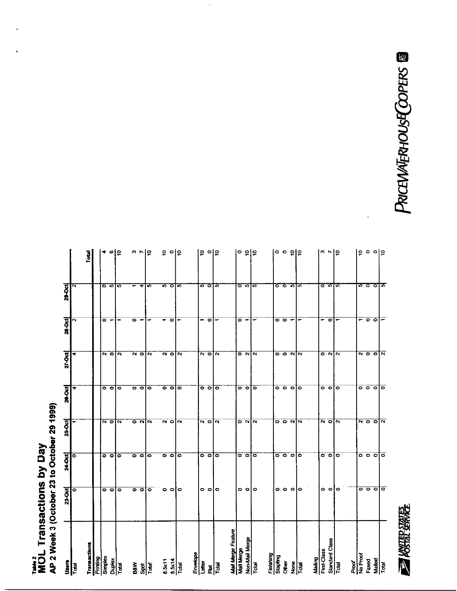# Take 2<br>MOL Transactions by Day<br>AP 2 Week 3 (October 23 to October 29 1999)

| $rac{1}{2}$                            | 23-Oct                                                                                              | 24-Oct                  | 25-Oct                          | 26-Oct                                    | 27-Oct                                          | 28-Oct                   | 29-Oct         |                           |
|----------------------------------------|-----------------------------------------------------------------------------------------------------|-------------------------|---------------------------------|-------------------------------------------|-------------------------------------------------|--------------------------|----------------|---------------------------|
| <b>IGDT</b>                            | ۰                                                                                                   | 0                       |                                 | ₩                                         | ₩                                               | ົ                        | N              |                           |
|                                        |                                                                                                     |                         |                                 |                                           |                                                 |                          |                | Total                     |
| Transactions<br>Printing               |                                                                                                     |                         |                                 |                                           |                                                 |                          |                |                           |
| Simplex                                | $\circ$ $\circ$                                                                                     | ۰                       | $\overline{\mathsf{N}}$ o       | . .                                       | $\overline{\mathbf{v}}$                         | ۰                        | ೯              |                           |
| Duplex                                 |                                                                                                     | $\circ$                 |                                 |                                           |                                                 | ↽                        |                | ≁ စ င္                    |
| <b>Tutel</b>                           | $\circ$                                                                                             | ۰                       | $\overline{\mathbf{N}}$         | $\bullet$                                 | $\overline{\mathbf{N}}$                         |                          | 5              |                           |
|                                        |                                                                                                     |                         |                                 |                                           |                                                 | $\bullet$                |                |                           |
| $\frac{3}{8}$ $\frac{1}{8}$            | $\circ$ $\circ$                                                                                     | $\bullet$ $\bullet$     | ০ নান                           | ၀ ၀                                       | $\overline{\mathsf{a}}$ $\overline{\mathsf{c}}$ | $\ddot{}$                | ٠              | $\omega$ $\sim$ $\approx$ |
|                                        | ίo                                                                                                  | ۰                       |                                 | ۰                                         | $\tilde{\sim}$                                  |                          | 5              |                           |
| 8.5x11                                 |                                                                                                     |                         |                                 |                                           |                                                 |                          |                |                           |
|                                        | $\circ$ $\circ$ $\circ$                                                                             | $\bullet$ $\circ$       | $\sim$ $\circ$                  | $\bullet$ $\circ$                         | $\overline{\mathbf{v}}$ of                      | $\bullet$                | 5              | $e$ $e$                   |
| $\frac{8.5x14}{100a}$                  |                                                                                                     | $\circ$                 | $\overline{\mathbf{N}}$         | ۰                                         | $\overline{\mathbf{N}}$                         | ٠                        | 5              |                           |
| Envelope                               |                                                                                                     |                         |                                 |                                           |                                                 |                          |                |                           |
| Letter                                 |                                                                                                     |                         |                                 |                                           |                                                 |                          |                |                           |
|                                        | $\circ$ $\circ$                                                                                     | $\circ$ $\circ$         | ন ০ ন                           | ᅙᅙ                                        | $\frac{1}{2}$                                   | - 0                      | e ole          | $5$ ola                   |
| 휨                                      | lo                                                                                                  | i0                      |                                 | b                                         |                                                 | $\blacksquare$           |                |                           |
| Mail Merge Feature                     |                                                                                                     |                         |                                 |                                           |                                                 |                          |                |                           |
| Mail Merge                             |                                                                                                     |                         |                                 |                                           |                                                 |                          |                | ၁ ၁ ၁                     |
| Non-Mail Merge                         | $\frac{1}{\sigma}$                                                                                  | $\circ$ $\circ$         | $\circ$ $\sim$ $\sim$           | $\overline{\bullet}$ $\overline{\bullet}$ | $\frac{1}{2}$ $\frac{1}{2}$                     | $\sim$ $\sim$            |                |                           |
| Total                                  |                                                                                                     | iο                      |                                 | Гo                                        |                                                 |                          |                |                           |
|                                        |                                                                                                     |                         |                                 |                                           |                                                 |                          |                |                           |
| Finishing<br>Stapling                  |                                                                                                     |                         |                                 |                                           |                                                 |                          |                |                           |
| <b>Other</b>                           | $\overline{\phantom{0}}$ $\overline{\phantom{0}}$ $\overline{\phantom{0}}$ $\overline{\phantom{0}}$ | $\circ$ $\circ$ $\circ$ | $\circ$ $\circ$ $\circ$ $\circ$ | $\circ \circ \circ$                       | $\circ$ $\circ$ $\sim$ $\sim$                   | $\circ$ $\circ$ $\sim$   | o o nje        | ၀ ၀ ၅၀                    |
| $\frac{g}{2}$ $\frac{g}{\overline{c}}$ |                                                                                                     |                         |                                 |                                           |                                                 |                          |                |                           |
|                                        |                                                                                                     | o                       |                                 | Þ                                         |                                                 |                          |                |                           |
| Mailing<br>First-Class                 |                                                                                                     |                         |                                 |                                           |                                                 |                          |                |                           |
|                                        |                                                                                                     | $\circ$ $\circ$         | $\overline{N}$ o                | ۰                                         | ຸ                                               | -                        |                | $ a $ $\sim$              |
| Standard Class<br>Total                | $\overline{\circ}$ of $\overline{\circ}$                                                            |                         |                                 | $\bullet$                                 |                                                 | $\bullet$                | o<br>5<br>5    |                           |
|                                        |                                                                                                     | $\bullet$               | $\overline{\mathbf{N}}$         | $\bullet$                                 | $\overline{\mathbf{z}}$                         |                          |                |                           |
| Proof<br>No Proof                      |                                                                                                     |                         |                                 |                                           |                                                 |                          |                |                           |
|                                        |                                                                                                     |                         |                                 |                                           |                                                 |                          |                |                           |
| Faxed                                  | ० ० ० ०                                                                                             | ० ० ० ०                 | $\alpha$ o o $\alpha$           | $\circ$ $\circ$ $\circ$                   | $\frac{1}{2}$ $\frac{1}{2}$                     | - 0 0                    | <u>စ ၁ ၁ က</u> | ခြ ေခါင္း                 |
| Mailed<br>Total                        |                                                                                                     |                         |                                 |                                           |                                                 |                          |                |                           |
|                                        |                                                                                                     |                         |                                 | lo                                        |                                                 | $\overline{\phantom{m}}$ |                |                           |

.

PRICEMATERHOUSE COPERS ®

**BRANCE SHARE**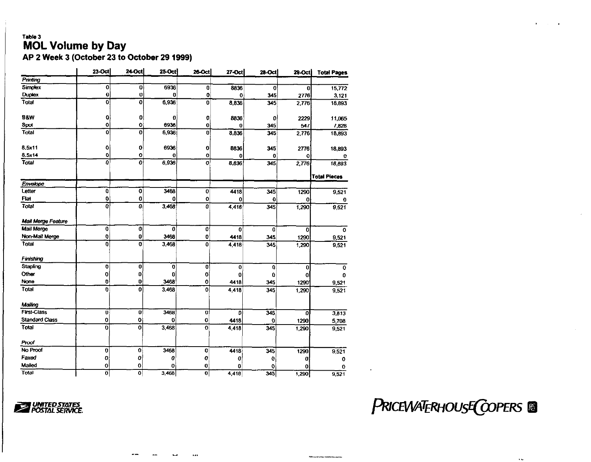## Table 3 MOL Volume by Day

AP 2 Week 3 (October 23 to October 29 1999)

|                       | 23-Oct           | 24-Oct                  | 25-Oct      | 26-Oct                  | 27-Oct      | 28 Oct | 29-Oct | <b>Total Pages</b>  |
|-----------------------|------------------|-------------------------|-------------|-------------------------|-------------|--------|--------|---------------------|
| Printing              |                  |                         |             |                         |             |        |        |                     |
| Simplex               | $\mathbf 0$      | 0                       | 6936        | 0                       | 8836        | 0      | 0      | 15,772              |
| <b>Duplex</b>         | $\mathbf 0$      | $\bf{0}$                | 0           | 0                       | $\mathbf 0$ | 345    | 2776   | 3,121               |
| Total                 | $\overline{0}$   | $\overline{\mathbf{0}}$ | 6.936       | 0                       | 8,836       | 345    | 2,776  | 18,893              |
| <b>B&amp;W</b>        | 0                | 0                       | 0           | 0                       | 8836        | 0      | 2229   | 11,065              |
| Spot                  | Ō                | 0                       | 6936        | $\bf{0}$                | 0           | 345    | 547    | 7,828               |
| Total                 | $\overline{0}$   | O                       | 6,936       | $\bf{0}$                | 8.836       | 345    | 2,776  | 18,893              |
| 8,5x11                | o                | 0                       | 6936        | 0                       | 8836        | 345    | 2776   | 18,893              |
| 8.5x14                | 0                | Ō                       | 0           | O                       | 0           | 0      | Q      | 0                   |
| Total                 | ō                | 0                       | 6.936       | o                       | 8.836       | 345    | 2,776  | 18,893              |
|                       |                  |                         |             |                         |             |        |        | <b>Total Pieces</b> |
| Envelope              |                  |                         |             |                         |             |        |        |                     |
| Letter                | 0                | 0                       | 3468        | 0                       | 4418        | 345    | 1290   | 9,521               |
| Flat                  | 0                | 0                       | 0           | 0                       | 0           | 0      | 0      | $\bf{0}$            |
| Total                 | Ō                | 0                       | 3,468       | 0                       | 4,418       | 345    | 1,290  | 9,521               |
| Mail Merge Feature    |                  |                         |             |                         |             |        |        |                     |
| Mail Merge            | $\boldsymbol{0}$ | 0                       | $\mathbf 0$ | 0                       | 0           | 0      | 0      | 0                   |
| Non-Mail Merge        | $\mathbf 0$      | 0                       | 3468        | 0                       | 4418        | 345    | 1290   | 9,521               |
| Total                 | Ö                | 0                       | 3,468       | 0                       | 4 4 1 8     | 345    | 1,290  | 9,521               |
| Finishing             |                  |                         |             |                         |             |        |        |                     |
| Stapling              | $\mathbf 0$      | $\bf{0}$                | $\mathbf 0$ | 0                       | 0           | 0      | 0      | $\mathbf 0$         |
| Other                 | O                | $\bf{0}$                | 0           | 0                       | 0           | 0      | 0      | $\mathbf{o}$        |
| None                  | $\mathbf 0$      | 0                       | 3468        | 0                       | 4418        | 345    | 1290   | 9,521               |
| Total                 | $\mathbf 0$      | ö                       | 3.468       | $\mathbf 0$             | 4,418       | 345    | 1,290  | 9,521               |
| Mailing               |                  |                         |             |                         |             |        |        |                     |
| <b>First-Class</b>    | $\mathbf{0}$     | $\mathbf{0}$            | 3468        | $\mathbf{0}$            | Đ.          | 345    | 0      | 3,813               |
| <b>Standard Class</b> | 0                | 0                       | 0           | 0                       | 4418        | 0      | 1290   | 5,708               |
| Total                 | $\mathbf 0$      | $\mathbf 0$             | 3,468       | $\overline{\mathbf{0}}$ | 4,418       | 345    | 1,290  | 9,521               |
| Proof                 |                  |                         |             |                         |             |        |        |                     |
| No Proof              | 0                | 0                       | 3468        | 0                       | 4418        | 345    | 1290   | 9,521               |
| Faxed                 | 0                | 0                       | 0           | o                       | O           | 0      | O      | 0                   |
| Mailed                | 0                | 0                       | 0           | 0                       | 0           | 0      | 0      | 0                   |
| Total                 | $\mathbf 0$      | $\overline{0}$          | 3,468       | $\overline{0}$          | 4,418       | 345    | 1,290  | 9,521               |

\_- -- - .

**Z** *POSTAL SERVICE.* 

**PRICEWATERHOUSE COPERS** 

 $\bar{\omega}$ 

*Thirty, as a given their visibility of the property of a*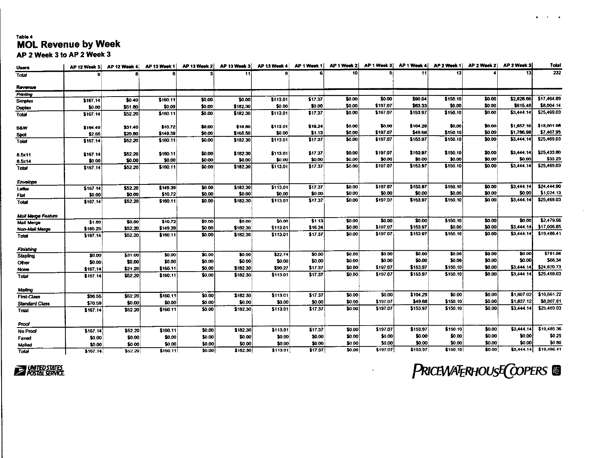### Table 4 **MOL Revenue by Week** AP 2 Week 3 to AP 2 Week 3

| <b>Users</b>          | <b>AP 12 Week 3</b> | <b>AP 12 Week 4</b> | AP 13 Week 1 | AP 13 Week 2 | AP 13 Week 3 | AP 13 Week 4 | AP 1 Week 1 | AP 1 Week 2      | AP 1 Week 3 | <b>AP 1 Week 4</b> | AP 2 Week 1        | AP 2 Week 2 | AP 2 Week 3 | Total       |
|-----------------------|---------------------|---------------------|--------------|--------------|--------------|--------------|-------------|------------------|-------------|--------------------|--------------------|-------------|-------------|-------------|
| Total                 |                     |                     |              |              | 11           |              |             | 10 <sub>1</sub>  |             | 11                 | 13                 |             | 13          | 232         |
|                       |                     |                     |              |              |              |              |             |                  |             |                    |                    |             |             |             |
| Revenue               |                     |                     |              |              |              |              |             |                  |             |                    |                    |             |             |             |
| Printing              |                     |                     |              |              |              |              |             |                  | \$0.00      | \$90.64            |                    | \$0.00      | \$2,828.66  | \$17,464.89 |
| Simplex               | \$167.14            | \$0.40              | \$160.11     | \$0.00       | \$0.00       | \$113.01     | \$17.37     | \$0.00<br>\$0.00 | \$197.07    | \$63.33            | \$150.10<br>\$0.00 | \$0.00      | \$615.48    | \$8,004.14  |
| Duplex                | \$0.00              | \$51.80             | \$0.00       | \$0.00       | \$182.30     | \$0.00       | \$0.00      |                  |             | \$153.97           |                    | \$0.00      | \$3,444.14  | \$25,469.03 |
| Total                 | \$167 14            | \$52.20             | \$160.11     | \$0.00       | \$182.30     | \$113.01     | \$17.37     | \$0.00           | \$197.07    |                    | \$150.10           |             |             |             |
| BAW                   | \$164.49            | \$31.40             | \$10.72      | \$0.00       | \$16.80      | \$113.01     | \$16.24     | 10.00            | \$0.00      | \$104.29           | \$0.00             | \$0.00      | \$1,657.16  | \$18,001.06 |
| Spot                  | \$2.65              | \$20.80             | \$149.39     | \$0.00       | \$165.50     | \$0.00       | \$1.13      | \$0.00           | \$197.07    | \$49.68            | \$150.10           | \$0.00      | \$1,786.98  | \$7,467.95  |
| Total                 | \$167.14            | \$52.20             | \$160.11     | \$0.00       | \$182.30     | \$113.01     | \$17.37     | \$0.00           | \$197.07    | \$153.97           | \$150.10           | \$0.00      | \$3,444.14  | \$25,469.03 |
|                       |                     |                     |              |              |              |              |             |                  |             |                    |                    |             |             |             |
| 8.5x11                | \$167.14            | \$52.20             | \$160.11     | \$0.00       | \$182.30     | \$113.01     | \$17.37     | \$0.00           | \$197.07    | \$153.97           | \$150.10           | \$0.00      | \$3,444.14  | \$25,433.80 |
| 8.5x14                | \$0.00              | \$0.00              | \$0.00       | \$0.00       | \$0.00       | \$0.00       | \$0.00      | \$0.00           | \$0.00      | \$0.00             | \$0.00             | \$0.00      | \$0.00      | \$35.23     |
| Total                 | \$167.14            | \$52.20             | \$160.11     | \$0.00       | \$182.30     | \$113.01     | \$17.37     | \$0.00           | \$197.07    | \$153.97           | \$150.10           | \$0.00      | \$3,444.14  | \$25,469.03 |
|                       |                     |                     |              |              |              |              |             |                  |             |                    |                    |             |             |             |
| Envelope              |                     |                     |              |              |              |              |             |                  |             |                    |                    |             |             |             |
| Letter                | \$167.14            | \$52.20             | \$149.39     | \$0.00       | \$182.30     | \$113.01     | \$17.37     | \$0.00           | \$197.07    | \$153.97           | \$150.10           | \$0.00      | \$3,444.14  | \$24,444.90 |
| Flat                  | \$0.00              | \$0.00              | \$10.72      | \$0.00       | \$0.00       | \$0.00       | \$0.00      | \$0.00           | \$0.00      | \$0.00             | \$0.00             | \$0.00      | \$0.00      | \$1,024.13  |
| Total                 | \$167.14            | \$52.20             | \$160.11     | \$0.00       | \$182.30     | \$113.01     | \$17.37     | \$0.00           | \$197.07    | \$153.97           | \$150.10           | \$0.00      | \$3,444.14  | \$25,469.03 |
|                       |                     |                     |              |              |              |              |             |                  |             |                    |                    |             |             |             |
| Mail Merge Feature    |                     |                     |              |              |              |              |             |                  |             |                    |                    |             |             |             |
| <b>Mail Merge</b>     | \$1.89              | \$0,00]             | \$10.72      | \$0.00       | \$0.00       | \$0.00       | \$1.13      | \$0.00           | \$0.00      | \$0.00             | \$150.10           | \$0.00      | \$0.00      | \$2,479.56  |
| <b>Non-Mail Merge</b> | \$165.25            | \$52.20             | \$149.39     | \$0.00       | \$182.30     | \$113.01     | \$16.24     | \$0.00           | \$197.07    | \$153.97           | \$0.00             | \$0.00      | \$3,444.14  | \$17,006.85 |
| Total                 | \$167.14            | \$52.20             | \$160.11     | \$0,00       | \$182.30     | \$113.01     | \$17.37     | \$0.00           | \$197.07    | \$153.97           | \$150.10           | \$0.00]     | \$3,444.14  | \$19,486.41 |
|                       |                     |                     |              |              |              |              |             |                  |             |                    |                    |             |             |             |
| Finishing             |                     |                     |              |              |              |              |             |                  |             |                    |                    |             |             |             |
| Stapling              | \$0.00              | \$31.00             | \$0.00       | \$0.00       | \$0.00       | \$22.74      | \$0.00      | \$0.00           | \$0.00      | \$0.00             | \$0.00             | \$0.00      | \$0.00      | \$781.96    |
| Other                 | \$0.00              | \$0.00              | \$0.00       | \$0.00       | \$0.00       | \$0.00       | \$0.00      | \$0.00           | \$0.00      | \$0.00             | \$0.00             | \$0.00      | \$0.00      | \$66.34     |
| None                  | \$167.14            | \$21.20             | \$160.11     | \$0.00       | \$182.30     | \$90.27      | \$17.37     | \$0.00           | \$197.07    | \$153.97           | \$150.10           | \$0.00      | \$3,444.14  | \$24,620.73 |
| <b>Total</b>          | \$167.14            | \$52.20             | \$160.11     | \$0.00       | \$182.30     | \$113.01     | \$17.37     | \$0.00           | \$197.07    | \$153.97           | \$150.10           | \$0.00      | \$3,444.14  | \$25,469.03 |
|                       |                     |                     |              |              |              |              |             |                  |             |                    |                    |             |             |             |
| Mailing               | \$96.55             | \$52.20             | \$160.11     | \$0.00       | \$182.30     | \$113.01     | \$17.37     | \$0.00           | \$0.00      | \$104.29           | \$0.00             | \$0.00      | \$1,607.02  | \$16,661.22 |
| <b>First Class</b>    |                     | \$0.00              | \$0.00       | \$0.00       | \$0.00       | \$0.00       | \$0.00      | \$0.00           | \$197.07    | \$49.68            | \$150.10           | \$0.00      | \$1,837.12  | \$8,807.81  |
| <b>Standard Class</b> | \$70.59             | \$52.20             | \$160.11     | \$0.00       | \$182.30     | \$113.01     | \$17.37     | \$0.00           | \$197.07    | \$153.97           | \$150.10           | \$0.00      | \$3,444.14  | \$25,469.03 |
| Total                 | \$167.14            |                     |              |              |              |              |             |                  |             |                    |                    |             |             |             |
| Proof                 |                     |                     |              |              |              |              |             |                  |             |                    |                    |             |             |             |
| No Proof              | \$167.14            | \$52.20             | \$160.11     | \$0.00       | \$182.30     | \$113.01     | \$17.37     | \$0.00           | \$197.07    | \$153.97           | \$150.10           | \$0.00      | \$3,444.14  | \$19,485.36 |
| Faxed                 | \$0.00              | \$0.00              | \$0.00       | \$0.00       | \$0.00       | \$0.00       | \$0.00      | \$0.00           | \$0.00      | \$0.00             | \$0.00             | \$0.00      | \$0.00      | \$0.25      |
| Mailed                | \$0.00              | \$0.00              | \$0.00       | \$0.00       | \$0.00       | \$0.00       | \$0.00      | \$0.00           | \$0.00      | \$0.00             | \$0.00             | \$0.00      | \$0.00      | \$0.80      |
| <b>Total</b>          | \$167.14            | \$52.20             | \$160.11     | \$0.00       | \$182.30     | \$113.01     | \$17.37     | \$0.00           | \$197.07    | \$153.97           | \$150.10           | \$0.00      | \$3,444.14] | \$19,486.41 |



PRICEWATERHOUSE COPERS @

 $\bullet$ 

 $\sim$   $\sim$   $\sim$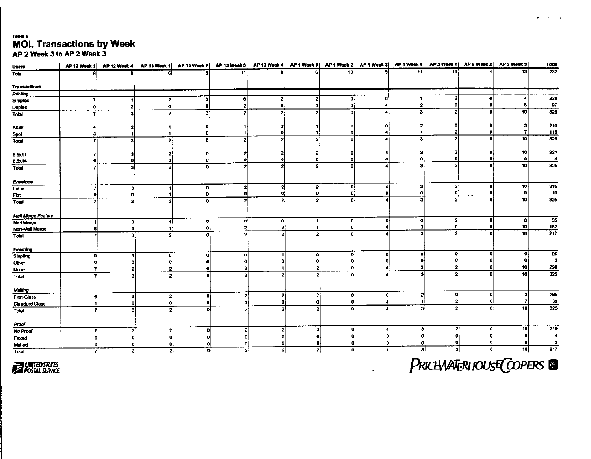## Table 5 MOL Transactions by Week<br>AP 2 Week 3 to AP 2 Week 3

| <b>Users</b>              | AP 12 Week 3 | AP 12 Week 4   | AP 13 Week 1   |                                | AP 13 Week 2   AP 13 Week 3   AP 13 Week 4   AP 1 Week 1   AP 1 Week 2   AP 1 Week 3   AP 1 Week 4   AP 2 Week 1   AP 2 Week 2   AP 2 Week 3 |                         |                                  |              |                      |                         |                        |                         |                 | Total                  |
|---------------------------|--------------|----------------|----------------|--------------------------------|----------------------------------------------------------------------------------------------------------------------------------------------|-------------------------|----------------------------------|--------------|----------------------|-------------------------|------------------------|-------------------------|-----------------|------------------------|
| Total                     |              |                |                | я                              | 11                                                                                                                                           | я                       | 61                               | 10           | 록                    | 11                      | $\overline{13}$        |                         | 13              | $\overline{232}$       |
| <b>Transactions</b>       |              |                |                |                                |                                                                                                                                              |                         |                                  |              |                      |                         |                        |                         |                 |                        |
| Printing                  |              |                |                |                                |                                                                                                                                              |                         |                                  |              |                      |                         |                        |                         |                 |                        |
| Simplex                   |              |                | 2              | $\mathbf{0}$                   | 0                                                                                                                                            | $\mathbf{z}$            | $\mathbf{z}$                     | $\mathbf{0}$ | ٥l                   | -11                     | -21                    | 0                       |                 | 228                    |
| <b>Duplex</b>             | 0            | 2              | ٥l             | 0                              | 2                                                                                                                                            | ĐÌ                      | O)                               | $\mathbf{0}$ |                      | $\overline{2}$          | O.                     | $\mathbf{0}$            | Я               | 97                     |
| Total                     |              | $\mathbf{a}$   | $\mathbf{2}$   | ۰o                             | $\mathbf{2}$                                                                                                                                 |                         | 21                               | $\Omega$     | $\left  \right $     | зł                      | 2 <sup>1</sup>         | $\mathbf{0}$            | 10              | 325                    |
| <b>B&amp;W</b>            |              |                |                | -0                             |                                                                                                                                              |                         |                                  |              |                      |                         |                        |                         |                 | 210                    |
| Spot                      | з            |                |                | Ð                              |                                                                                                                                              |                         |                                  | O            |                      | 1                       |                        | $\mathbf{0}$            | 7               | 115                    |
| Total                     | Ŧ.           | зł             | 2 <sup>1</sup> | $\mathbf{0}$                   | 2                                                                                                                                            | $\mathbf{2}$            | 2 <sup>1</sup>                   | $\mathbf{0}$ |                      | 3                       | - 21                   | $\mathbf{0}$            | $\overline{10}$ | 325                    |
| 8.5x11                    |              |                | 2              |                                |                                                                                                                                              |                         |                                  |              |                      |                         |                        | O                       | 10 <sub>1</sub> | 321                    |
| 8.5x14                    | Л            | n              | o              | $\mathbf o$                    | ol                                                                                                                                           | Ω                       | $\mathbf{0}$                     | o            |                      | 0                       |                        | A                       | $\bullet$       | $\blacktriangleleft$   |
| Total                     | 71           | зі             | -21            | $\mathbf{o}$                   | $\mathbf{2}$                                                                                                                                 | $\overline{\mathbf{z}}$ | 2 <sup>1</sup>                   | $\mathbf{0}$ |                      | $\mathbf{3}$            |                        | $\mathbf{0}$            | 10 <sup>1</sup> | 325                    |
| Envelope                  |              |                |                |                                |                                                                                                                                              |                         |                                  |              |                      |                         |                        |                         |                 |                        |
| Letter                    |              | э۱             |                | $\mathbf{0}$                   | إ2                                                                                                                                           | $\overline{2}$          | 2                                | -ol          | 4                    | з                       | $\mathbf{2}^{\dagger}$ | ٥l                      | 10 <sup>1</sup> | 315                    |
| Flat                      | 0            | 0              |                | $\mathbf{0}$                   | $\mathbf 0$                                                                                                                                  | o                       | $\mathbf{0}$                     | $\mathbf{o}$ | o                    | $\mathbf 0$             | $\mathbf{0}$           | $\mathbf{0}$            | -O              | 10                     |
| Total                     | 7            | $\mathbf{a}$   | 2              | $\mathbf{a}$                   | 2                                                                                                                                            | $\overline{2}$          | $\mathbf{z}$                     | -ni          |                      | $\mathbf{a}$            | 2 <sup>1</sup>         | ٥i                      | 10              | $\overline{325}$       |
| <b>Mail Merge Feature</b> |              |                |                |                                |                                                                                                                                              |                         |                                  |              |                      | 0                       | 2 <sup>1</sup>         | ٥I                      | $\mathbf{o}$    | 55                     |
| <b>Mail Merge</b>         | $\bullet$    | $\mathbf{0}$   | -11            | $\bullet$                      | ΩÍ                                                                                                                                           | οl                      | $\blacktriangleleft$             | 0            | 0                    | $\mathbf{3}$            | οi                     | ٥l                      | 10              |                        |
| Non-Mail Merge            | 6            | 3 <sup>1</sup> | $\mathbf{1}$   | $\mathbf{o}$                   | 2                                                                                                                                            | $\mathbf{z}$            | $\blacktriangleleft$             | οl           | 4<br>◢               | ⋑                       | 21                     | ΩI                      | 10              | $\frac{162}{217}$      |
| Total                     |              | 3              | $\mathbf{2}$   | Ō                              | $\mathbf{2}$                                                                                                                                 | ÷.                      | -21                              | ΩI           |                      |                         |                        |                         |                 |                        |
| Finishing                 |              |                |                |                                |                                                                                                                                              |                         |                                  |              |                      |                         |                        |                         |                 |                        |
| Stapling                  | o            |                | 0l             | o                              | ol                                                                                                                                           | $\blacktriangleleft$    | -ol                              | $\mathbf{o}$ | οl                   | 0                       | ٥I                     | 0                       | ٥I              | 25                     |
| Other                     | o            | o              | o              |                                |                                                                                                                                              |                         | 0                                | n            | n                    | o                       |                        | 0                       | o               | 2                      |
| None                      | 7            | $\mathbf{z}$   | $\mathbf{2}$   | $\mathbf{0}$                   | 21                                                                                                                                           |                         | $\mathbf{2}$                     | Ð            | 4                    | зł                      | 2                      | 0                       | 10              | 298                    |
| Total                     | 7            | 31             | -21            | n                              | $\mathbf{2}$                                                                                                                                 | $\mathbf{z}$            | $\mathbf{2}$                     | ΩI           | 4                    | $\overline{\mathbf{a}}$ | 21                     | ٥I                      | 10 <sup>1</sup> | 325                    |
| Malling                   |              |                |                |                                |                                                                                                                                              |                         |                                  |              |                      |                         | n                      |                         | 31              |                        |
| <b>First-Class</b>        | 61           | 3              | -21            | οi                             | 2                                                                                                                                            | $\mathbf{2}$            | $\mathbf{2}$                     | 0ŀ           | Οİ                   | $2\frac{1}{2}$          |                        | $\bullet$               |                 | 286                    |
| <b>Standard Class</b>     | -11          | ٥l             | $\mathbf{0}$   | o                              | οí                                                                                                                                           | οl                      | 0                                | οI           | 4                    | 1 Í                     | o                      | $\mathbf{o}$<br>-O I    | 10 <sup>1</sup> | 39<br>$\overline{325}$ |
| Total                     | 7            | з              | 2              | ٥l                             | -2 i                                                                                                                                         |                         | $\overline{2}$<br>$\overline{2}$ | ۵l           | $\blacktriangleleft$ | з١                      |                        |                         |                 |                        |
| Proof                     |              |                |                |                                |                                                                                                                                              |                         | $\mathbf{2}$                     | 0l           | 4                    | 3                       | 2 <sup>1</sup>         | $\mathbf{0}$            | 10 <sub>1</sub> | 210                    |
| No Proof                  |              | 31             |                | 2 <sup>1</sup><br>$\mathbf{0}$ | $\mathbf{2}$                                                                                                                                 |                         | $\mathbf{2}$<br> 0               | -01          | $\mathbf{o}$         | 0                       | n                      | o                       | o               | $\blacktriangleleft$   |
| Faxed                     | o۱           | $\mathbf{o}$   | n              | n                              | 0                                                                                                                                            |                         |                                  | 0            | $\mathbf{0}$         | $\mathbf{0}$            | n                      | $\mathbf{0}$            | O               | $\mathbf{3}$           |
| Mailed                    | 0            | $\mathbf{0}$   | 0              | $\mathbf{o}$                   | οl                                                                                                                                           | 0                       | 0                                |              |                      | $\mathbf{3}$            | 2                      | $\overline{\mathbf{0}}$ | 피               | $\overline{217}$       |
| Total                     | $\mathbf{7}$ | $\vert$ 3      |                | $\mathbf{z}$<br>$\mathbf{Q}$   | 2.                                                                                                                                           |                         | 21<br>2                          | 0            | 4j                   |                         |                        |                         |                 |                        |

**EXAMPLED STATES** 

PRICEWATERHOUSE COPERS

 $\bullet$  . <br> <br> <br> <br> <br> <br> <br> <br> <br><br><br> <br><br><br>